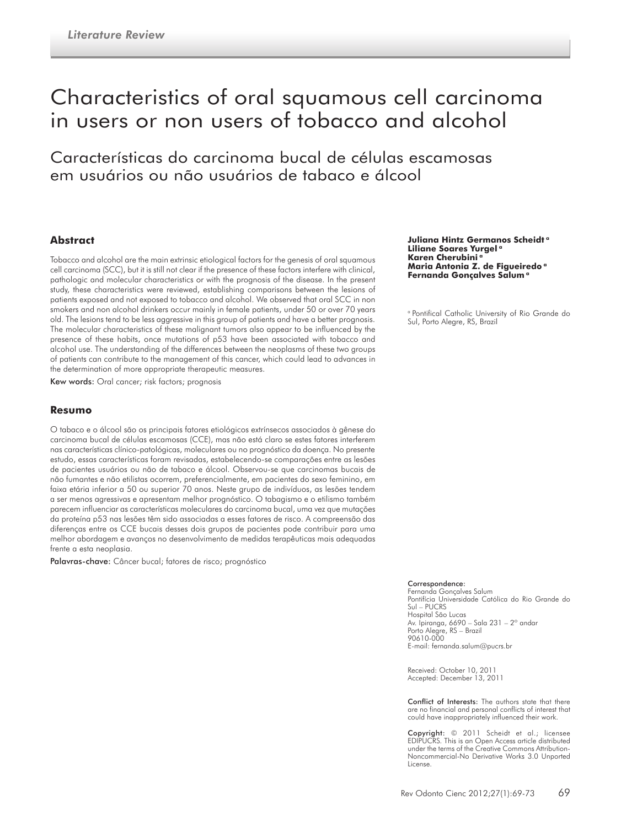# Characteristics of oral squamous cell carcinoma in users or non users of tobacco and alcohol

Características do carcinoma bucal de células escamosas em usuários ou não usuários de tabaco e álcool

### **Abstract**

Tobacco and alcohol are the main extrinsic etiological factors for the genesis of oral squamous cell carcinoma (SCC), but it is still not clear if the presence of these factors interfere with clinical, pathologic and molecular characteristics or with the prognosis of the disease. In the present study, these characteristics were reviewed, establishing comparisons between the lesions of patients exposed and not exposed to tobacco and alcohol. We observed that oral SCC in non smokers and non alcohol drinkers occur mainly in female patients, under 50 or over 70 years old. The lesions tend to be less aggressive in this group of patients and have a better prognosis. The molecular characteristics of these malignant tumors also appear to be influenced by the presence of these habits, once mutations of p53 have been associated with tobacco and alcohol use. The understanding of the differences between the neoplasms of these two groups of patients can contribute to the management of this cancer, which could lead to advances in the determination of more appropriate therapeutic measures.

Kew words: Oral cancer; risk factors; prognosis

#### **Resumo**

O tabaco e o álcool são os principais fatores etiológicos extrínsecos associados à gênese do carcinoma bucal de células escamosas (CCE), mas não está claro se estes fatores interferem nas características clínico-patológicas, moleculares ou no prognóstico da doença. No presente estudo, essas características foram revisadas, estabelecendo-se comparações entre as lesões de pacientes usuários ou não de tabaco e álcool. Observou-se que carcinomas bucais de não fumantes e não etilistas ocorrem, preferencialmente, em pacientes do sexo feminino, em faixa etária inferior a 50 ou superior 70 anos. Neste grupo de indivíduos, as lesões tendem a ser menos agressivas e apresentam melhor prognóstico. O tabagismo e o etilismo também parecem influenciar as características moleculares do carcinoma bucal, uma vez que mutações da proteína p53 nas lesões têm sido associadas a esses fatores de risco. A compreensão das diferenças entre os CCE bucais desses dois grupos de pacientes pode contribuir para uma melhor abordagem e avanços no desenvolvimento de medidas terapêuticas mais adequadas frente a esta neoplasia.

Palavras-chave: Câncer bucal; fatores de risco; prognóstico

**Juliana Hintz Germanos Scheidt a Liliane Soares Yurgel a Karen Cherubini Maria Antonia Z. de Figueiredo a Fernanda Gonçalves Salum a**

<sup>a</sup> Pontifical Catholic University of Rio Grande do Sul, Porto Alegre, RS, Brazil

Correspondence:

Fernanda Gonçalves Salum Pontifícia Universidade Católica do Rio Grande do Sul – PUCRS Hospital São Lucas Av. Ipiranga, 6690 – Sala 231 – 2º andar Porto Alegre, RS – Brazil 90610-000 E-mail: fernanda.salum@pucrs.br

Received: October 10, 2011 Accepted: December 13, 2011

Conflict of Interests: The authors state that there are no financial and personal conflicts of interest that could have inappropriately influenced their work.

Copyright: © 2011 Scheidt et al.; licensee EDIPUCRS. This is an Open Access article distributed under the terms of the Creative Commons Attribution-Noncommercial-No Derivative Works 3.0 Unported License.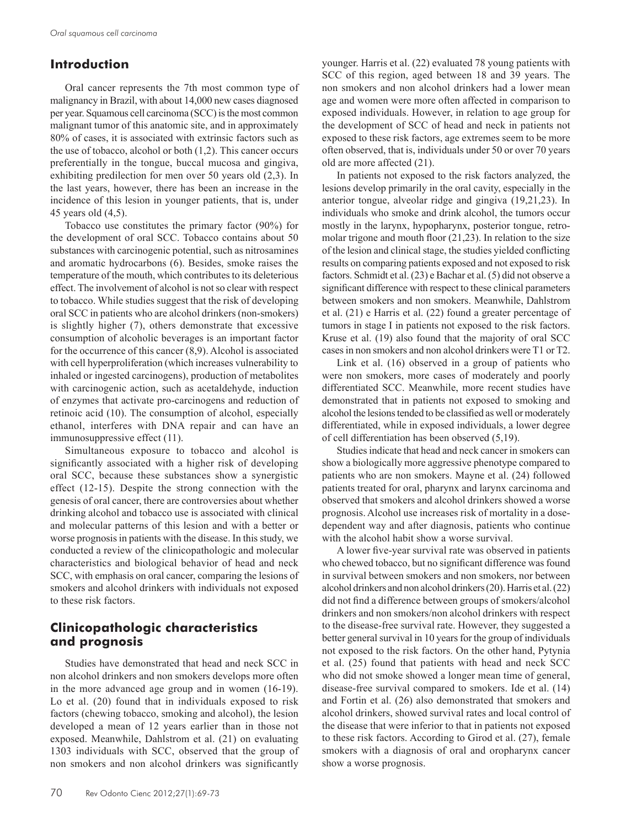## **Introduction**

Oral cancer represents the 7th most common type of malignancy in Brazil, with about 14,000 new cases diagnosed per year. Squamous cell carcinoma (SCC) is the most common malignant tumor of this anatomic site, and in approximately 80% of cases, it is associated with extrinsic factors such as the use of tobacco, alcohol or both  $(1,2)$ . This cancer occurs preferentially in the tongue, buccal mucosa and gingiva, exhibiting predilection for men over 50 years old (2,3). In the last years, however, there has been an increase in the incidence of this lesion in younger patients, that is, under 45 years old (4,5).

Tobacco use constitutes the primary factor (90%) for the development of oral SCC. Tobacco contains about 50 substances with carcinogenic potential, such as nitrosamines and aromatic hydrocarbons (6). Besides, smoke raises the temperature of the mouth, which contributes to its deleterious effect. The involvement of alcohol is not so clear with respect to tobacco. While studies suggest that the risk of developing oral SCC in patients who are alcohol drinkers (non-smokers) is slightly higher (7), others demonstrate that excessive consumption of alcoholic beverages is an important factor for the occurrence of this cancer (8,9). Alcohol is associated with cell hyperproliferation (which increases vulnerability to inhaled or ingested carcinogens), production of metabolites with carcinogenic action, such as acetaldehyde, induction of enzymes that activate pro-carcinogens and reduction of retinoic acid (10). The consumption of alcohol, especially ethanol, interferes with DNA repair and can have an immunosuppressive effect (11).

Simultaneous exposure to tobacco and alcohol is significantly associated with a higher risk of developing oral SCC, because these substances show a synergistic effect (12-15). Despite the strong connection with the genesis of oral cancer, there are controversies about whether drinking alcohol and tobacco use is associated with clinical and molecular patterns of this lesion and with a better or worse prognosis in patients with the disease. In this study, we conducted a review of the clinicopathologic and molecular characteristics and biological behavior of head and neck SCC, with emphasis on oral cancer, comparing the lesions of smokers and alcohol drinkers with individuals not exposed to these risk factors.

# **Clinicopathologic characteristics and prognosis**

Studies have demonstrated that head and neck SCC in non alcohol drinkers and non smokers develops more often in the more advanced age group and in women (16-19). Lo et al. (20) found that in individuals exposed to risk factors (chewing tobacco, smoking and alcohol), the lesion developed a mean of 12 years earlier than in those not exposed. Meanwhile, Dahlstrom et al. (21) on evaluating 1303 individuals with SCC, observed that the group of non smokers and non alcohol drinkers was significantly

younger. Harris et al. (22) evaluated 78 young patients with SCC of this region, aged between 18 and 39 years. The non smokers and non alcohol drinkers had a lower mean age and women were more often affected in comparison to exposed individuals. However, in relation to age group for the development of SCC of head and neck in patients not exposed to these risk factors, age extremes seem to be more often observed, that is, individuals under 50 or over 70 years old are more affected (21).

In patients not exposed to the risk factors analyzed, the lesions develop primarily in the oral cavity, especially in the anterior tongue, alveolar ridge and gingiva (19,21,23). In individuals who smoke and drink alcohol, the tumors occur mostly in the larynx, hypopharynx, posterior tongue, retromolar trigone and mouth floor (21,23). In relation to the size of the lesion and clinical stage, the studies yielded conflicting results on comparing patients exposed and not exposed to risk factors. Schmidt et al. (23) e Bachar et al. (5) did not observe a significant difference with respect to these clinical parameters between smokers and non smokers. Meanwhile, Dahlstrom et al. (21) e Harris et al. (22) found a greater percentage of tumors in stage I in patients not exposed to the risk factors. Kruse et al. (19) also found that the majority of oral SCC cases in non smokers and non alcohol drinkers were T1 or T2.

Link et al. (16) observed in a group of patients who were non smokers, more cases of moderately and poorly differentiated SCC. Meanwhile, more recent studies have demonstrated that in patients not exposed to smoking and alcohol the lesions tended to be classified as well or moderately differentiated, while in exposed individuals, a lower degree of cell differentiation has been observed (5,19).

Studies indicate that head and neck cancer in smokers can show a biologically more aggressive phenotype compared to patients who are non smokers. Mayne et al. (24) followed patients treated for oral, pharynx and larynx carcinoma and observed that smokers and alcohol drinkers showed a worse prognosis. Alcohol use increases risk of mortality in a dosedependent way and after diagnosis, patients who continue with the alcohol habit show a worse survival.

A lower five-year survival rate was observed in patients who chewed tobacco, but no significant difference was found in survival between smokers and non smokers, nor between alcohol drinkers and non alcohol drinkers (20). Harris et al. (22) did not find a difference between groups of smokers/alcohol drinkers and non smokers/non alcohol drinkers with respect to the disease-free survival rate. However, they suggested a better general survival in 10 years for the group of individuals not exposed to the risk factors. On the other hand, Pytynia et al. (25) found that patients with head and neck SCC who did not smoke showed a longer mean time of general, disease-free survival compared to smokers. Ide et al. (14) and Fortin et al. (26) also demonstrated that smokers and alcohol drinkers, showed survival rates and local control of the disease that were inferior to that in patients not exposed to these risk factors. According to Girod et al. (27), female smokers with a diagnosis of oral and oropharynx cancer show a worse prognosis.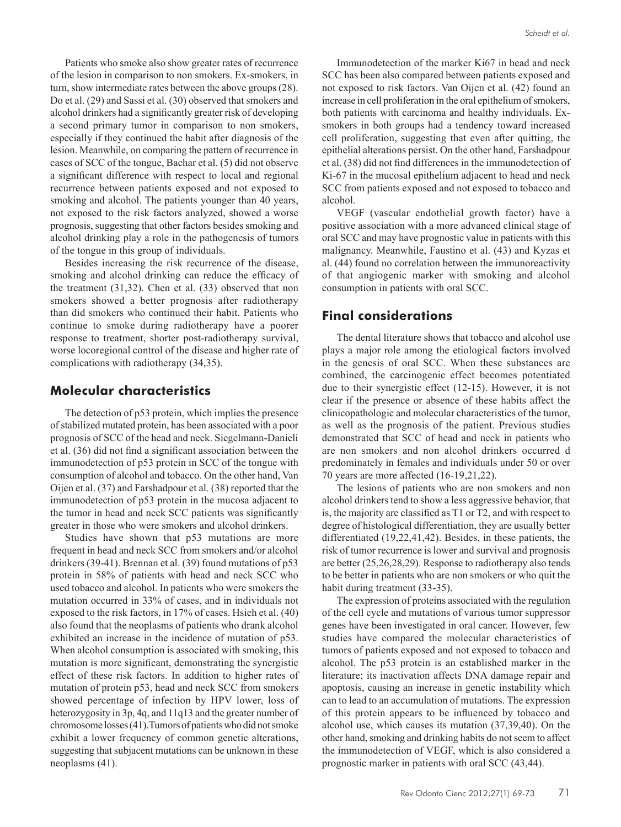Patients who smoke also show greater rates of recurrence of the lesion in comparison to non smokers. Ex-smokers, in turn, show intermediate rates between the above groups (28). Do et al. (29) and Sassi et al. (30) observed that smokers and alcohol drinkers had a significantly greater risk of developing a second primary tumor in comparison to non smokers, especially if they continued the habit after diagnosis of the lesion. Meanwhile, on comparing the pattern of recurrence in cases of SCC of the tongue, Bachar et al. (5) did not observe a significant difference with respect to local and regional recurrence between patients exposed and not exposed to smoking and alcohol. The patients younger than 40 years, not exposed to the risk factors analyzed, showed a worse prognosis, suggesting that other factors besides smoking and alcohol drinking play a role in the pathogenesis of tumors of the tongue in this group of individuals.

Besides increasing the risk recurrence of the disease, smoking and alcohol drinking can reduce the efficacy of the treatment (31,32). Chen et al. (33) observed that non smokers showed a better prognosis after radiotherapy than did smokers who continued their habit. Patients who continue to smoke during radiotherapy have a poorer response to treatment, shorter post-radiotherapy survival, worse locoregional control of the disease and higher rate of complications with radiotherapy (34,35).

## **Molecular characteristics**

The detection of p53 protein, which implies the presence of stabilized mutated protein, has been associated with a poor prognosis of SCC of the head and neck. Siegelmann-Danieli et al. (36) did not find a significant association between the immunodetection of p53 protein in SCC of the tongue with consumption of alcohol and tobacco. On the other hand, Van Oijen et al. (37) and Farshadpour et al. (38) reported that the immunodetection of p53 protein in the mucosa adjacent to the tumor in head and neck SCC patients was significantly greater in those who were smokers and alcohol drinkers.

Studies have shown that p53 mutations are more frequent in head and neck SCC from smokers and/or alcohol drinkers (39-41). Brennan et al. (39) found mutations of p53 protein in 58% of patients with head and neck SCC who used tobacco and alcohol. In patients who were smokers the mutation occurred in 33% of cases, and in individuals not exposed to the risk factors, in 17% of cases. Hsieh et al. (40) also found that the neoplasms of patients who drank alcohol exhibited an increase in the incidence of mutation of p53. When alcohol consumption is associated with smoking, this mutation is more significant, demonstrating the synergistic effect of these risk factors. In addition to higher rates of mutation of protein p53, head and neck SCC from smokers showed percentage of infection by HPV lower, loss of heterozygosity in 3p, 4q, and 11q13 and the greater number of chromosome losses (41).Tumors of patients who did not smoke exhibit a lower frequency of common genetic alterations, suggesting that subjacent mutations can be unknown in these neoplasms (41).

Immunodetection of the marker Ki67 in head and neck SCC has been also compared between patients exposed and not exposed to risk factors. Van Oijen et al. (42) found an increase in cell proliferation in the oral epithelium of smokers, both patients with carcinoma and healthy individuals. Exsmokers in both groups had a tendency toward increased cell proliferation, suggesting that even after quitting, the epithelial alterations persist. On the other hand, Farshadpour et al. (38) did not find differences in the immunodetection of Ki-67 in the mucosal epithelium adjacent to head and neck SCC from patients exposed and not exposed to tobacco and alcohol.

VEGF (vascular endothelial growth factor) have a positive association with a more advanced clinical stage of oral SCC and may have prognostic value in patients with this malignancy. Meanwhile, Faustino et al. (43) and Kyzas et al. (44) found no correlation between the immunoreactivity of that angiogenic marker with smoking and alcohol consumption in patients with oral SCC.

## **Final considerations**

The dental literature shows that tobacco and alcohol use plays a major role among the etiological factors involved in the genesis of oral SCC. When these substances are combined, the carcinogenic effect becomes potentiated due to their synergistic effect (12-15). However, it is not clear if the presence or absence of these habits affect the clinicopathologic and molecular characteristics of the tumor, as well as the prognosis of the patient. Previous studies demonstrated that SCC of head and neck in patients who are non smokers and non alcohol drinkers occurred d predominately in females and individuals under 50 or over 70 years are more affected (16-19,21,22).

The lesions of patients who are non smokers and non alcohol drinkers tend to show a less aggressive behavior, that is, the majority are classified as T1 or T2, and with respect to degree of histological differentiation, they are usually better differentiated (19,22,41,42). Besides, in these patients, the risk of tumor recurrence is lower and survival and prognosis are better (25,26,28,29). Response to radiotherapy also tends to be better in patients who are non smokers or who quit the habit during treatment (33-35).

The expression of proteins associated with the regulation of the cell cycle and mutations of various tumor suppressor genes have been investigated in oral cancer. However, few studies have compared the molecular characteristics of tumors of patients exposed and not exposed to tobacco and alcohol. The p53 protein is an established marker in the literature; its inactivation affects DNA damage repair and apoptosis, causing an increase in genetic instability which can to lead to an accumulation of mutations. The expression of this protein appears to be influenced by tobacco and alcohol use, which causes its mutation (37,39,40). On the other hand, smoking and drinking habits do not seem to affect the immunodetection of VEGF, which is also considered a prognostic marker in patients with oral SCC (43,44).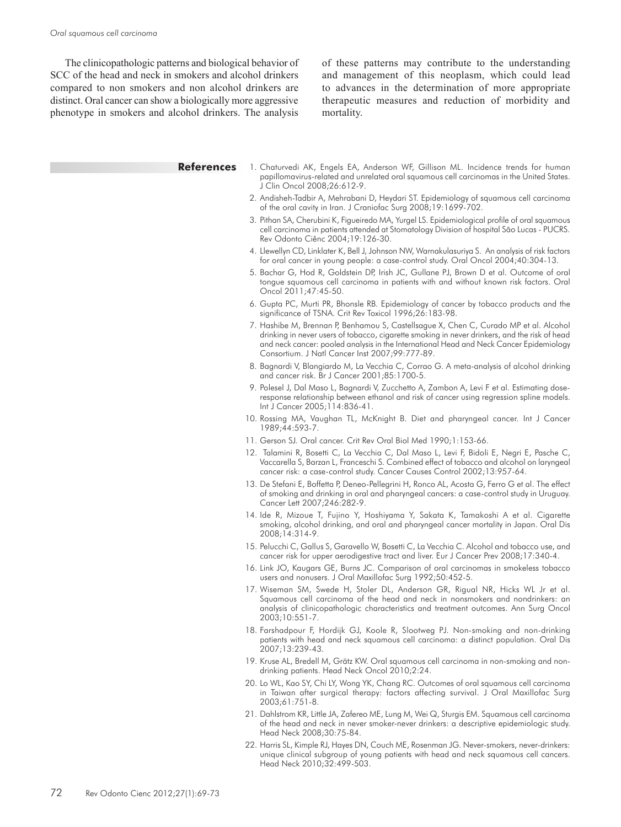The clinicopathologic patterns and biological behavior of SCC of the head and neck in smokers and alcohol drinkers compared to non smokers and non alcohol drinkers are distinct. Oral cancer can show a biologically more aggressive phenotype in smokers and alcohol drinkers. The analysis

of these patterns may contribute to the understanding and management of this neoplasm, which could lead to advances in the determination of more appropriate therapeutic measures and reduction of morbidity and mortality.

#### **References**

- 1. Chaturvedi AK, Engels EA, Anderson WF, Gillison ML. Incidence trends for human papillomavirus-related and unrelated oral squamous cell carcinomas in the United States. J Clin Oncol 2008;26:612-9.
- 2. Andisheh-Tadbir A, Mehrabani D, Heydari ST. Epidemiology of squamous cell carcinoma of the oral cavity in Iran. J Craniofac Surg 2008;19:1699-702.
- 3. Pithan SA, Cherubini K, Figueiredo MA, Yurgel LS. Epidemiological profile of oral squamous cell carcinoma in patients attended at Stomatology Division of hospital São Lucas - PUCRS. Rev Odonto Ciênc 2004;19:126-30.
- 4. Llewellyn CD, Linklater K, Bell J, Johnson NW, Warnakulasuriya S. An analysis of risk factors for oral cancer in young people: a case-control study. Oral Oncol 2004;40:304-13.
- 5. Bachar G, Hod R, Goldstein DP, Irish JC, Gullane PJ, Brown D et al. Outcome of oral tongue squamous cell carcinoma in patients with and without known risk factors. Oral Oncol 2011;47:45-50.
- 6. Gupta PC, Murti PR, Bhonsle RB. Epidemiology of cancer by tobacco products and the significance of TSNA. Crit Rev Toxicol 1996;26:183-98.
- 7. Hashibe M, Brennan P, Benhamou S, Castellsague X, Chen C, Curado MP et al. Alcohol drinking in never users of tobacco, cigarette smoking in never drinkers, and the risk of head and neck cancer: pooled analysis in the International Head and Neck Cancer Epidemiology Consortium. J Natl Cancer Inst 2007;99:777-89.
- 8. Bagnardi V, Blangiardo M, La Vecchia C, Corrao G. A meta-analysis of alcohol drinking and cancer risk. Br J Cancer 2001;85:1700-5.
- 9. Polesel J, Dal Maso L, Bagnardi V, Zucchetto A, Zambon A, Levi F et al. Estimating doseresponse relationship between ethanol and risk of cancer using regression spline models. Int J Cancer 2005;114:836-41.
- 10. Rossing MA, Vaughan TL, McKnight B. Diet and pharyngeal cancer. Int J Cancer 1989;44:593-7.
- 11. Gerson SJ. Oral cancer. Crit Rev Oral Biol Med 1990;1:153-66.
- 12. Talamini R, Bosetti C, La Vecchia C, Dal Maso L, Levi F, Bidoli E, Negri E, Pasche C, Vaccarella S, Barzan L, Franceschi S. Combined effect of tobacco and alcohol on laryngeal cancer risk: a case-control study. Cancer Causes Control 2002;13:957-64.
- 13. De Stefani E, Boffetta P, Deneo-Pellegrini H, Ronco AL, Acosta G, Ferro G et al. The effect of smoking and drinking in oral and pharyngeal cancers: a case-control study in Uruguay. Cancer Lett 2007;246:282-9.
- 14. Ide R, Mizoue T, Fujino Y, Hoshiyama Y, Sakata K, Tamakoshi A et al. Cigarette smoking, alcohol drinking, and oral and pharyngeal cancer mortality in Japan. Oral Dis 2008;14:314-9.
- 15. Pelucchi C, Gallus S, Garavello W, Bosetti C, La Vecchia C. Alcohol and tobacco use, and cancer risk for upper aerodigestive tract and liver. Eur J Cancer Prev 2008;17:340-4.
- 16. Link JO, Kaugars GE, Burns JC. Comparison of oral carcinomas in smokeless tobacco users and nonusers. J Oral Maxillofac Surg 1992;50:452-5.
- 17. Wiseman SM, Swede H, Stoler DL, Anderson GR, Rigual NR, Hicks WL Jr et al. Squamous cell carcinoma of the head and neck in nonsmokers and nondrinkers: an analysis of clinicopathologic characteristics and treatment outcomes. Ann Surg Oncol 2003;10:551-7.
- 18. Farshadpour F, Hordijk GJ, Koole R, Slootweg PJ. Non-smoking and non-drinking patients with head and neck squamous cell carcinoma: a distinct population. Oral Dis 2007;13:239-43.
- 19. Kruse AL, Bredell M, Grätz KW. Oral squamous cell carcinoma in non-smoking and nondrinking patients. Head Neck Oncol 2010;2:24.
- 20. Lo WL, Kao SY, Chi LY, Wong YK, Chang RC. Outcomes of oral squamous cell carcinoma in Taiwan after surgical therapy: factors affecting survival. J Oral Maxillofac Surg 2003;61:751-8.
- 21. Dahlstrom KR, Little JA, Zafereo ME, Lung M, Wei Q, Sturgis EM. Squamous cell carcinoma of the head and neck in never smoker-never drinkers: a descriptive epidemiologic study. Head Neck 2008;30:75-84.
- 22. Harris SL, Kimple RJ, Hayes DN, Couch ME, Rosenman JG. Never-smokers, never-drinkers: unique clinical subgroup of young patients with head and neck squamous cell cancers. Head Neck 2010;32:499-503.